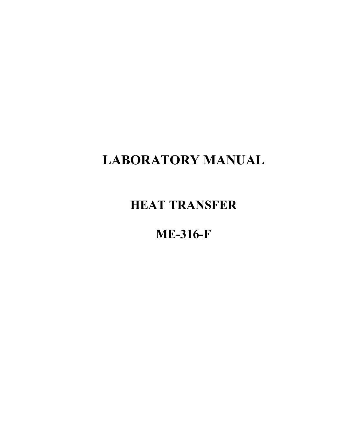# **LABORATORY MANUAL**

## **HEAT TRANSFER**

## **ME-316-F**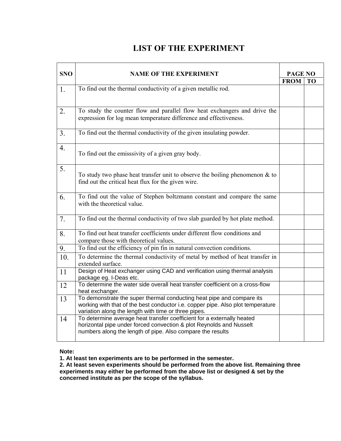## **LIST OF THE EXPERIMENT**

| <b>SNO</b>     | <b>NAME OF THE EXPERIMENT</b>                                                                                                                                                                                    | <b>PAGE NO</b> |    |  |
|----------------|------------------------------------------------------------------------------------------------------------------------------------------------------------------------------------------------------------------|----------------|----|--|
|                |                                                                                                                                                                                                                  | <b>FROM</b>    | TO |  |
| 1.             | To find out the thermal conductivity of a given metallic rod.                                                                                                                                                    |                |    |  |
| 2.             | To study the counter flow and parallel flow heat exchangers and drive the<br>expression for log mean temperature difference and effectiveness.                                                                   |                |    |  |
| 3 <sub>1</sub> | To find out the thermal conductivity of the given insulating powder.                                                                                                                                             |                |    |  |
| 4.             | To find out the emisssivity of a given gray body.                                                                                                                                                                |                |    |  |
| 5.             | To study two phase heat transfer unit to observe the boiling phenomenon $\&$ to<br>find out the critical heat flux for the given wire.                                                                           |                |    |  |
| 6.             | To find out the value of Stephen boltzmann constant and compare the same<br>with the theoretical value.                                                                                                          |                |    |  |
| 7 <sub>1</sub> | To find out the thermal conductivity of two slab guarded by hot plate method.                                                                                                                                    |                |    |  |
| 8.             | To find out heat transfer coefficients under different flow conditions and<br>compare those with theoretical values.                                                                                             |                |    |  |
| 9.             | To find out the efficiency of pin fin in natural convection conditions.                                                                                                                                          |                |    |  |
| 10.            | To determine the thermal conductivity of metal by method of heat transfer in<br>extended surface.                                                                                                                |                |    |  |
| 11             | Design of Heat exchanger using CAD and verification using thermal analysis<br>package eg. I-Deas etc.                                                                                                            |                |    |  |
| 12             | To determine the water side overall heat transfer coefficient on a cross-flow<br>heat exchanger.                                                                                                                 |                |    |  |
| 13             | To demonstrate the super thermal conducting heat pipe and compare its<br>working with that of the best conductor i.e. copper pipe. Also plot temperature<br>variation along the length with time or three pipes. |                |    |  |
| 14             | To determine average heat transfer coefficient for a externally heated<br>horizontal pipe under forced convection & plot Reynolds and Nusselt<br>numbers along the length of pipe. Also compare the results      |                |    |  |

## **Note:**

**1. At least ten experiments are to be performed in the semester.** 

**2. At least seven experiments should be performed from the above list. Remaining three experiments may either be performed from the above list or designed & set by the concerned institute as per the scope of the syllabus.**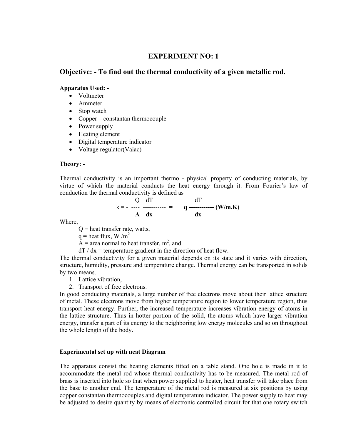## **EXPERIMENT NO: 1**

## **Objective: - To find out the thermal conductivity of a given metallic rod.**

#### **Apparatus Used: -**

- Voltmeter
- Ammeter
- Stop watch
- Copper constantan thermocouple
- Power supply
- Heating element
- Digital temperature indicator
- Voltage regulator (Vaiac)

#### **Theory: -**

Thermal conductivity is an important thermo - physical property of conducting materials, by virtue of which the material conducts the heat energy through it. From Fourier's law of conduction the thermal conductivity is defined as

$$
k = \frac{Q}{A} \frac{dT}{dx}
$$
  $q \frac{dT}{dx}$  (W/m.K)

Where,

- $Q =$  heat transfer rate, watts,
- $q =$  heat flux, W /m<sup>2</sup>
- $\overrightarrow{A}$  = area normal to heat transfer, m<sup>2</sup>, and
- $dT / dx =$  temperature gradient in the direction of heat flow.

The thermal conductivity for a given material depends on its state and it varies with direction, structure, humidity, pressure and temperature change. Thermal energy can be transported in solids by two means.

- 1. Lattice vibration,
- 2. Transport of free electrons.

In good conducting materials, a large number of free electrons move about their lattice structure of metal. These electrons move from higher temperature region to lower temperature region, thus transport heat energy. Further, the increased temperature increases vibration energy of atoms in the lattice structure. Thus in hotter portion of the solid, the atoms which have larger vibration energy, transfer a part of its energy to the neighboring low energy molecules and so on throughout the whole length of the body.

## **Experimental set up with neat Diagram**

The apparatus consist the heating elements fitted on a table stand. One hole is made in it to accommodate the metal rod whose thermal conductivity has to be measured. The metal rod of brass is inserted into hole so that when power supplied to heater, heat transfer will take place from the base to another end. The temperature of the metal rod is measured at six positions by using copper constantan thermocouples and digital temperature indicator. The power supply to heat may be adjusted to desire quantity by means of electronic controlled circuit for that one rotary switch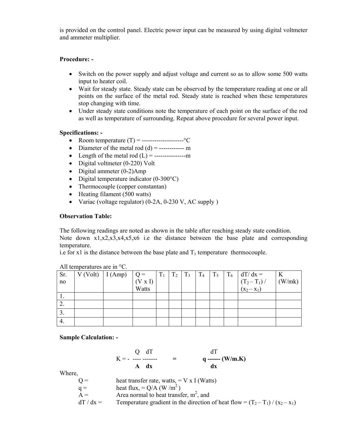is provided on the control panel. Electric power input can be measured by using digital voltmeter and ammeter multiplier.

## **Procedure: -**

- Switch on the power supply and adjust voltage and current so as to allow some 500 watts input to heater coil.
- Wait for steady state. Steady state can be observed by the temperature reading at one or all points on the surface of the metal rod. Steady state is reached when these temperatures stop changing with time.
- Under steady state conditions note the temperature of each point on the surface of the rod as well as temperature of surrounding. Repeat above procedure for several power input.

## **Specifications: -**

- Room temperature (T) = --------------------°C
- Diameter of the metal rod  $(d)$  = ------------ m
- Length of the metal rod (L) = ---------------m
- Digital voltmeter (0-220) Volt
- Digital ammeter (0-2)Amp
- Digital temperature indicator  $(0-300^{\circ}C)$
- Thermocouple (copper constantan)
- Heating filament (500 watts)
- Variac (voltage regulator) (0-2A, 0-230 V, AC supply )

## **Observation Table:**

The following readings are noted as shown in the table after reaching steady state condition.

Note down x1,x2,x3,x4,x5,x6 i.e the distance between the base plate and corresponding temperature.

i.e for x1 is the distance between the base plate and  $T_1$  temperature thermocouple.

| Sr. | $V (Volt)$   I (Amp) | $\vert$ Q = | $T_1$ | $T_2$ | $T_3$ | $T_4$ | $T_5$ | $T_6$ | $dT/dx =$               | K      |
|-----|----------------------|-------------|-------|-------|-------|-------|-------|-------|-------------------------|--------|
| no  |                      | (V x I)     |       |       |       |       |       |       | $(T_2-T_1) / (x_2-x_1)$ | (W/mk) |
|     |                      | Watts       |       |       |       |       |       |       |                         |        |
| .,  |                      |             |       |       |       |       |       |       |                         |        |
| 4.  |                      |             |       |       |       |       |       |       |                         |        |
| J.  |                      |             |       |       |       |       |       |       |                         |        |
| 4.  |                      |             |       |       |       |       |       |       |                         |        |

| All temperatures are in $^{\circ}C$ . |  |
|---------------------------------------|--|
|                                       |  |

**Sample Calculation: -** 

$$
K = \frac{Q}{A} \frac{dT}{dx} =
$$
  $\frac{dT}{dx}$  (W/m.K)

Where,

| $Q =$     | heat transfer rate, watts, $=$ V x I (Watts)                                     |
|-----------|----------------------------------------------------------------------------------|
| $q =$     | heat flux, = $Q/A$ (W/m <sup>2</sup> )                                           |
| $A =$     | Area normal to heat transfer, $m^2$ , and                                        |
| $dT/dx =$ | Temperature gradient in the direction of heat flow = $(T_2 - T_1) / (x_2 - x_1)$ |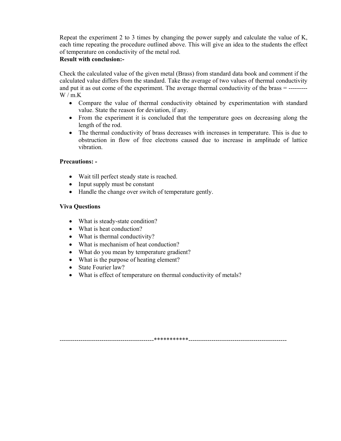Repeat the experiment 2 to 3 times by changing the power supply and calculate the value of K, each time repeating the procedure outlined above. This will give an idea to the students the effect of temperature on conductivity of the metal rod.

## **Result with conclusion:-**

Check the calculated value of the given metal (Brass) from standard data book and comment if the calculated value differs from the standard. Take the average of two values of thermal conductivity and put it as out come of the experiment. The average thermal conductivity of the brass = ---------  $W/m.K$ 

- Compare the value of thermal conductivity obtained by experimentation with standard value. State the reason for deviation, if any.
- From the experiment it is concluded that the temperature goes on decreasing along the length of the rod.
- The thermal conductivity of brass decreases with increases in temperature. This is due to obstruction in flow of free electrons caused due to increase in amplitude of lattice vibration.

## **Precautions: -**

- Wait till perfect steady state is reached.
- Input supply must be constant
- Handle the change over switch of temperature gently.

## **Viva Questions**

- What is steady-state condition?
- What is heat conduction?
- What is thermal conductivity?
- What is mechanism of heat conduction?
- What do you mean by temperature gradient?
- What is the purpose of heating element?
- State Fourier law?
- What is effect of temperature on thermal conductivity of metals?

---------------------------------------------\*\*\*\*\*\*\*\*\*\*\*-----------------------------------------------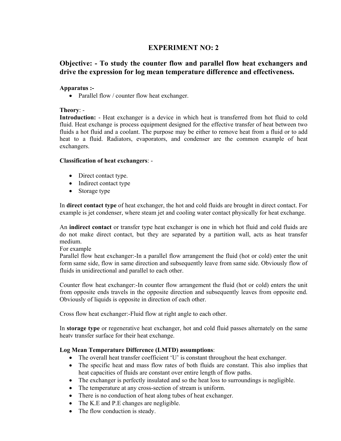## **EXPERIMENT NO: 2**

## **Objective: - To study the counter flow and parallel flow heat exchangers and drive the expression for log mean temperature difference and effectiveness.**

## **Apparatus :-**

• Parallel flow / counter flow heat exchanger.

## **Theory**: -

**Introduction:** - Heat exchanger is a device in which heat is transferred from hot fluid to cold fluid. Heat exchange is process equipment designed for the effective transfer of heat between two fluids a hot fluid and a coolant. The purpose may be either to remove heat from a fluid or to add heat to a fluid. Radiators, evaporators, and condenser are the common example of heat exchangers.

## **Classification of heat exchangers**: -

- Direct contact type.
- Indirect contact type
- Storage type

In **direct contact type** of heat exchanger, the hot and cold fluids are brought in direct contact. For example is jet condenser, where steam jet and cooling water contact physically for heat exchange.

An **indirect contact** or transfer type heat exchanger is one in which hot fluid and cold fluids are do not make direct contact, but they are separated by a partition wall, acts as heat transfer medium.

For example

Parallel flow heat exchanger:-In a parallel flow arrangement the fluid (hot or cold) enter the unit form same side, flow in same direction and subsequently leave from same side. Obviously flow of fluids in unidirectional and parallel to each other.

Counter flow heat exchanger:-In counter flow arrangement the fluid (hot or cold) enters the unit from opposite ends travels in the opposite direction and subsequently leaves from opposite end. Obviously of liquids is opposite in direction of each other.

Cross flow heat exchanger:-Fluid flow at right angle to each other.

In **storage type** or regenerative heat exchanger, hot and cold fluid passes alternately on the same heatv transfer surface for their heat exchange.

## **Log Mean Temperature Difference (LMTD) assumptions**:

- The overall heat transfer coefficient 'U' is constant throughout the heat exchanger.
- The specific heat and mass flow rates of both fluids are constant. This also implies that heat capacities of fluids are constant over entire length of flow paths.
- The exchanger is perfectly insulated and so the heat loss to surroundings is negligible.
- The temperature at any cross-section of stream is uniform.
- There is no conduction of heat along tubes of heat exchanger.
- The K.E and P.E changes are negligible.
- The flow conduction is steady.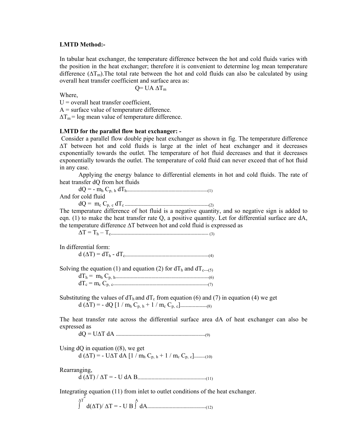#### **LMTD Method:-**

In tabular heat exchanger, the temperature difference between the hot and cold fluids varies with the position in the heat exchanger; therefore it is convenient to determine log mean temperature difference ( $\Delta T_m$ ). The total rate between the hot and cold fluids can also be calculated by using overall heat transfer coefficient and surface area as:

$$
Q= UA \Delta T_m
$$

Where,

 $U =$  overall heat transfer coefficient,

 $A =$  surface value of temperature difference.

 $\Delta T_m$  = log mean value of temperature difference.

## **LMTD for the parallel flow heat exchanger: -**

 Consider a parallel flow double pipe heat exchanger as shown in fig. The temperature difference ∆T between hot and cold fluids is large at the inlet of heat exchanger and it decreases exponentially towards the outlet. The temperature of hot fluid decreases and that it decreases exponentially towards the outlet. The temperature of cold fluid can never exceed that of hot fluid in any case.

 Applying the energy balance to differential elements in hot and cold fluids. The rate of heat transfer dQ from hot fluids

| And for cold fluid |  |
|--------------------|--|

dQ = mc Cp, c dTc ------------------------------------------------------------(2)

The temperature difference of hot fluid is a negative quantity, and so negative sign is added to eqn. (1) to make the heat transfer rate Q, a positive quantity. Let for differential surface are dA, the temperature difference ∆T between hot and cold fluid is expressed as

∆T = Th – Tc---------------------------------------------------------------------- (3)

In differential form:

d (∆T) = dTh - dTc------------------------------------------------------------(4)

Solving the equation (1) and equation (2) for  $dT_h$  and  $dT_{c-(-5)}$ <br>dT<sub>h</sub> = m<sub>h</sub> C<sub>n</sub> h<sub>m</sub>

| $dT_c = m_c C_{p, c}$ (7) |
|---------------------------|

Substituting the values of  $dT_h$  and  $dT_c$  from equation (6) and (7) in equation (4) we get d (∆T) = - dQ [1 / mh Cp, h + 1 / mc Cp, c]-------------------(8)

The heat transfer rate across the differential surface area dA of heat exchanger can also be expressed as

dQ = U∆T dA ----------------------------------------------------------------(9)

Using  $dQ$  in equation  $((8)$ , we get d ( $\Delta T$ ) = - U $\Delta T$  dA [1 / m<sub>h</sub> C<sub>p, h</sub> + 1 / m<sub>c</sub> C<sub>p, c</sub>]........(10)

Rearranging,

d (∆T) / ∆T = - U dA B-------------------------------------------------(11)

Integrating equation (11) from inlet to outlet conditions of the heat exchanger.

 $\Delta T$  A ∫ d(∆T)/ ∆T = - U B ∫ dA------------------------------------------(12)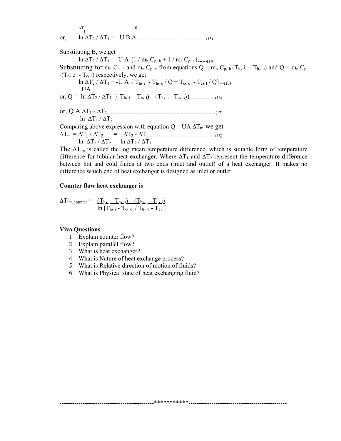∆T 1 0 or, ln ∆T2 / ∆T1 = - U B A--------------------------------------------------(13)

Substituting B, we get ln  $\Delta T_2 / \Delta T_1 = -U A \{1 / m_h C_{p, h} + 1 / m_c C_{p, c}\}$ ------(14) Substituting for  $m_h C_{p,h}$  and  $m_c C_{p,h}$  from equations  $Q = m_h C_{p,h} (T_h, i - T_h, o)$  and  $Q = m_c C_{p,h}$  $_{c}(T_c, o - T_c, i)$  respectively, we get  $\ln \Delta T_2 / \Delta T_1 = -U \cdot A \{ T_{h, i} - T_{h, o} / Q + T_{c, o} - T_{c, I} / Q \}$ ---(15) UA or, Q = ln ∆T2 / ∆T1 {( Th, i - Tc, i) – (Th, o - Tc, o)}------------------(16) or, Q A ∆T1 - ∆T2------------------------------------------------------------------------------(17) ln  $\Delta T_1 / \Delta T_2$ Comparing above expression with equation  $Q = UA \Delta T_m$  we get ∆Tm = ∆T1 - ∆T2 = ∆T2 - ∆T1 -----------------------------------------------(18) ln  $\Delta T_1 / \Delta T_2$  ln  $\Delta T_2 / \Delta T_1$ 

The  $\Delta T_{lm}$  is called the log mean temperature difference, which is suitable form of temperature difference for tubular heat exchanger. Where  $\Delta T_1$  and  $\Delta T_2$  represent the temperature difference between hot and cold fluids at two ends (inlet and outlet) of a heat exchanger. It makes no difference which end of heat exchanger is designed as inlet or outlet.

---------------------------------------------\*\*\*\*\*\*\*\*\*\*\*-----------------------------------------------

#### **Counter flow heat exchanger is**

$$
\Delta T_{lm, \text{counter}} = \frac{(\underline{T}_{h, i} - \underline{T}_{g, o}) - (\underline{T}_{h, o} - \underline{T}_{g, i})}{\ln [\underline{T}_{h, i} - \underline{T}_{c, o} / \underline{T}_{h, o} - \underline{T}_{c, i}]}
$$

#### **Viva Questions**:-

- 1. Explain counter flow?
- 2. Explain parallel flow?
- 3. What is heat exchanger?
- 4. What is Nature of heat exchange process?
- 5. What is Relative direction of motion of fluids?
- 6. What is Physical state of heat exchanging fluid?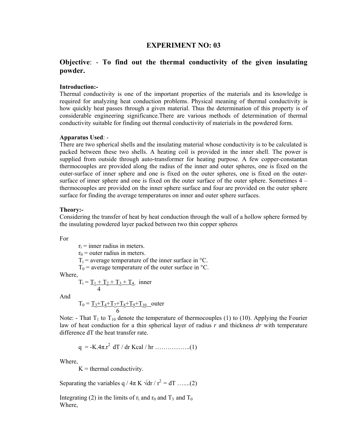## **EXPERIMENT NO: 03**

## **Objective**: - **To find out the thermal conductivity of the given insulating powder.**

#### **Introduction:-**

Thermal conductivity is one of the important properties of the materials and its knowledge is required for analyzing heat conduction problems. Physical meaning of thermal conductivity is how quickly heat passes through a given material. Thus the determination of this property is of considerable engineering significance.There are various methods of determination of thermal conductivity suitable for finding out thermal conductivity of materials in the powdered form.

#### **Apparatus Used**: -

There are two spherical shells and the insulating material whose conductivity is to be calculated is packed between these two shells. A heating coil is provided in the inner shell. The power is supplied from outside through auto-transformer for heating purpose. A few copper-constantan thermocouples are provided along the radius of the inner and outer spheres, one is fixed on the outer-surface of inner sphere and one is fixed on the outer spheres, one is fixed on the outersurface of inner sphere and one is fixed on the outer surface of the outer sphere. Sometimes 4 – thermocouples are provided on the inner sphere surface and four are provided on the outer sphere surface for finding the average temperatures on inner and outer sphere surfaces.

#### **Theory:-**

Considering the transfer of heat by heat conduction through the wall of a hollow sphere formed by the insulating powdered layer packed between two thin copper spheres

For

 $r_i$  = inner radius in meters.

 $r_0$  = outer radius in meters.

 $T_i$  = average temperature of the inner surface in  $\mathrm{C}$ .

 $T_0$  = average temperature of the outer surface in  $\degree$ C.

Where,

$$
T_i = \underbrace{T_1 + T_2 + T_3 + T_4}_{4}
$$
inner

And

$$
T_0 = \underbrace{T_3 + T_4 + T_7 + T_8 + T_9 + T_{10}}_{6}
$$
outer

Note: - That  $T_1$  to  $T_{10}$  denote the temperature of thermocouples (1) to (10). Applying the Fourier law of heat conduction for a thin spherical layer of radius *r* and thickness *dr* with temperature difference dT the heat transfer rate.

$$
q = -K.4\pi.r^2 dT / dr Kcal / hr
$$
 .........(1)

Where,

 $K =$  thermal conductivity.

Separating the variables q /  $4\pi$  K  $\sqrt{dr}$  /  $r^2 = dT$  …....(2)

Integrating (2) in the limits of  $r_i$  and  $r_0$  and  $T_3$  and  $T_0$ Where,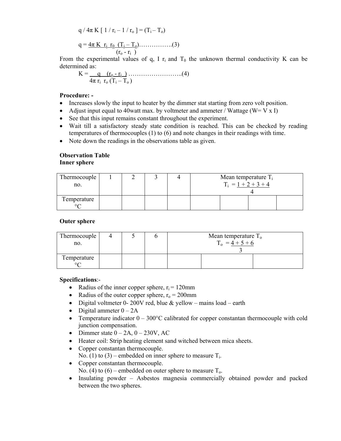$$
q / 4\pi K [1 / r_{i} - 1 / r_{o}] = (T_{i} - T_{o})
$$
  
 
$$
q = \frac{4\pi K r_{i} r_{0} (T_{i} - T_{o}) \dots (3)}{(r_{o} - r_{i})}
$$

From the experimental values of q, I  $r_i$  and  $T_0$  the unknown thermal conductivity K can be determined as:

$$
K = \underbrace{q \quad (r_o - r_i \quad \dots \dots \dots \dots \dots \dots \dots \dots \dots \dots}_{4\pi \quad r_i \quad r_o \ (T_i - T_o)}
$$

#### **Procedure: -**

- Increases slowly the input to heater by the dimmer stat starting from zero volt position.
- Adjust input equal to 40watt max. by voltmeter and ammeter / Wattage ( $W = V \times I$ )
- See that this input remains constant throughout the experiment.
- Wait till a satisfactory steady state condition is reached. This can be checked by reading temperatures of thermocouples (1) to (6) and note changes in their readings with time.
- Note down the readings in the observations table as given.

## **Observation Table Inner sphere**

| Thermocouple<br>no.    |  |  | Mean temperature $T_i$<br>$T_i = 1 + 2 + 3 + 4$ |  |  |
|------------------------|--|--|-------------------------------------------------|--|--|
| Temperature<br>$\circ$ |  |  |                                                 |  |  |

## **Outer sphere**

| Thermocouple<br>no.    |  | Mean temperature $To$<br>$T_0 = 4 + 5 + 6$ |  |  |  |
|------------------------|--|--------------------------------------------|--|--|--|
| Temperature<br>$\circ$ |  |                                            |  |  |  |

## **Specifications**:-

- Radius of the inner copper sphere,  $r_i = 120$ mm
- Radius of the outer copper sphere,  $r_0 = 200$ mm
- Digital voltmeter 0-200V red, blue & yellow mains load earth
- Digital ammeter  $0 2A$
- Temperature indicator  $0 300^{\circ}$ C calibrated for copper constantan thermocouple with cold junction compensation.
- Dimmer state  $0 2A$ ,  $0 230V$ , AC
- Heater coil: Strip heating element sand witched between mica sheets.
- Copper constantan thermocouple. No. (1) to (3) – embedded on inner sphere to measure  $T_i$ .
- Copper constantan thermocouple. No. (4) to (6) – embedded on outer sphere to measure  $T_0$ .
- Insulating powder Asbestos magnesia commercially obtained powder and packed between the two spheres.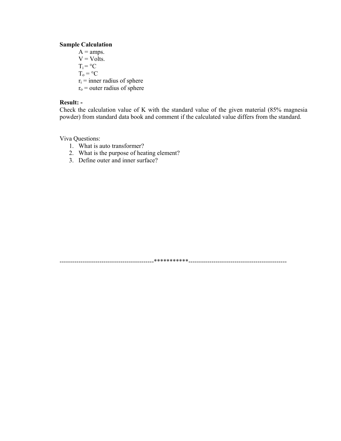#### **Sample Calculation**

 $A = \text{amps.}$  $V = Volts.$  $T_i = {}^{\circ}C$  $T_0 = {}^{\circ}C$  $r_i$  = inner radius of sphere  $r_0$  = outer radius of sphere

## Result: -

Check the calculation value of K with the standard value of the given material (85% magnesia powder) from standard data book and comment if the calculated value differs from the standard.

Viva Questions:

- 1. What is auto transformer?
- 2. What is the purpose of heating element?
- 3. Define outer and inner surface?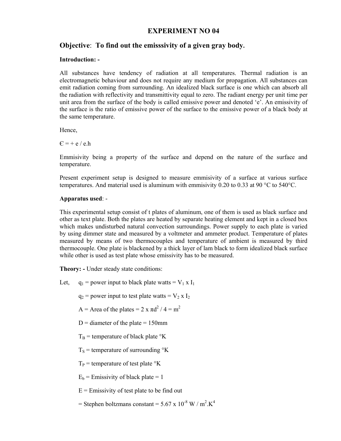## **EXPERIMENT NO 04**

## **Objective**: **To find out the emisssivity of a given gray body.**

## **Introduction: -**

All substances have tendency of radiation at all temperatures. Thermal radiation is an electromagnetic behaviour and does not require any medium for propagation. All substances can emit radiation coming from surrounding. An idealized black surface is one which can absorb all the radiation with reflectivity and transmittivity equal to zero. The radiant energy per unit time per unit area from the surface of the body is called emissive power and denoted 'e'. An emissivity of the surface is the ratio of emissive power of the surface to the emissive power of a black body at the same temperature.

Hence,

 $C = + e / e.h$ 

Emmisivity being a property of the surface and depend on the nature of the surface and temperature.

Present experiment setup is designed to measure emmisivity of a surface at various surface temperatures. And material used is aluminum with emmisivity 0.20 to 0.33 at 90 °C to 540 °C.

## **Apparatus used**: -

This experimental setup consist of t plates of aluminum, one of them is used as black surface and other as text plate. Both the plates are heated by separate heating element and kept in a closed box which makes undisturbed natural convection surroundings. Power supply to each plate is varied by using dimmer state and measured by a voltmeter and ammeter product. Temperature of plates measured by means of two thermocouples and temperature of ambient is measured by third thermocouple. One plate is blackened by a thick layer of lam black to form idealized black surface while other is used as test plate whose emissivity has to be measured.

**Theory: -** Under steady state conditions:

Let,  $q_1$  = power input to black plate watts =  $V_1$  x  $I_1$ 

 $q_2$  = power input to test plate watts =  $V_2$  x  $I_2$ 

 $A =$  Area of the plates = 2 x  $\pi d^2 / 4 = m^2$ 

 $D =$  diameter of the plate = 150mm

 $T_B$  = temperature of black plate  $\rm{R}$ 

 $T<sub>S</sub>$  = temperature of surrounding  $\rm{^{\circ}K}$ 

 $T_P$  = temperature of test plate  $\mathrm{R}^{\circ}$ K

 $E_b$  = Emissivity of black plate = 1

 $E =$  Emissivity of test plate to be find out

= Stephen boltzmans constant =  $5.67 \times 10^{-8}$  W / m<sup>2</sup>.K<sup>4</sup>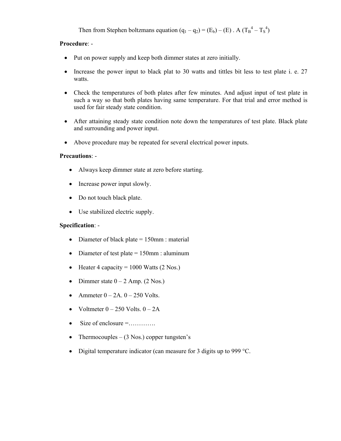Then from Stephen boltzmans equation  $(q_1 - q_2) = (E_b) - (E)$ . A  $(T_B^4 - T_S^4)$ 

## **Procedure**: -

- Put on power supply and keep both dimmer states at zero initially.
- Increase the power input to black plat to 30 watts and tittles bit less to test plate i. e. 27 watts.
- Check the temperatures of both plates after few minutes. And adjust input of test plate in such a way so that both plates having same temperature. For that trial and error method is used for fair steady state condition.
- After attaining steady state condition note down the temperatures of test plate. Black plate and surrounding and power input.
- Above procedure may be repeated for several electrical power inputs.

## **Precautions**: -

- Always keep dimmer state at zero before starting.
- Increase power input slowly.
- Do not touch black plate.
- Use stabilized electric supply.

## **Specification**: -

- Diameter of black plate  $= 150$ mm : material
- Diameter of test plate  $= 150$ mm : aluminum
- Heater 4 capacity =  $1000$  Watts (2 Nos.)
- Dimmer state  $0 2$  Amp. (2 Nos.)
- Ammeter  $0 2A$ .  $0 250$  Volts.
- Voltmeter  $0 250$  Volts.  $0 2A$
- Size of enclosure  $=$ ..............
- Thermocouples  $-$  (3 Nos.) copper tungsten's
- Digital temperature indicator (can measure for 3 digits up to 999 °C.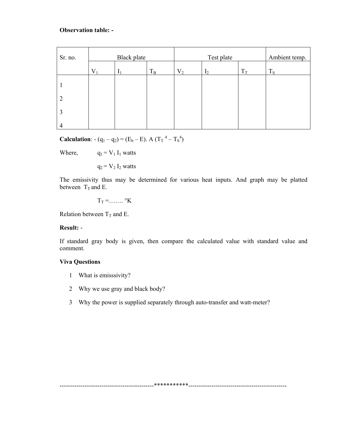## **Observation table: -**

| Sr. no. | <b>Black</b> plate |              |             |       | Ambient temp.  |       |       |
|---------|--------------------|--------------|-------------|-------|----------------|-------|-------|
|         | $V_1$              | $\mathbf{I}$ | $T_{\rm B}$ | $V_2$ | I <sub>2</sub> | $T_T$ | $T_S$ |
|         |                    |              |             |       |                |       |       |
| 2       |                    |              |             |       |                |       |       |
|         |                    |              |             |       |                |       |       |
| 4       |                    |              |             |       |                |       |       |

**Calculation**:  $-(q_1 - q_2) = (E_b - E)$ . A  $(T_T^4 - T_s^4)$ 

Where,  $q_1 = V_1 I_1$  watts

 $q_2 = V_2 I_2$  watts

The emissivity thus may be determined for various heat inputs. And graph may be platted between  $T_T$  and E.

 $T_T = \dots \dots$  °K

Relation between  $T_T$  and E.

## **Result:** -

If standard gray body is given, then compare the calculated value with standard value and comment.

## **Viva Questions**

- 1 What is emisssivity?
- 2 Why we use gray and black body?
- 3 Why the power is supplied separately through auto-transfer and watt-meter?

---------------------------------------------\*\*\*\*\*\*\*\*\*\*\*-----------------------------------------------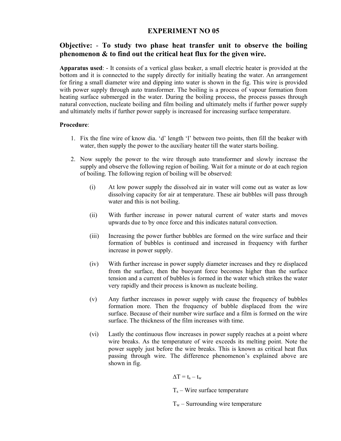## **EXPERIMENT NO 05**

## **Objective:** - **To study two phase heat transfer unit to observe the boiling phenomenon & to find out the critical heat flux for the given wire.**

**Apparatus used**: - It consists of a vertical glass beaker, a small electric heater is provided at the bottom and it is connected to the supply directly for initially heating the water. An arrangement for firing a small diameter wire and dipping into water is shown in the fig. This wire is provided with power supply through auto transformer. The boiling is a process of vapour formation from heating surface submerged in the water. During the boiling process, the process passes through natural convection, nucleate boiling and film boiling and ultimately melts if further power supply and ultimately melts if further power supply is increased for increasing surface temperature.

## **Procedure**:

- 1. Fix the fine wire of know dia. 'd' length 'l' between two points, then fill the beaker with water, then supply the power to the auxiliary heater till the water starts boiling.
- 2. Now supply the power to the wire through auto transformer and slowly increase the supply and observe the following region of boiling. Wait for a minute or do at each region of boiling. The following region of boiling will be observed:
	- (i) At low power supply the dissolved air in water will come out as water as low dissolving capacity for air at temperature. These air bubbles will pass through water and this is not boiling.
	- (ii) With further increase in power natural current of water starts and moves upwards due to by once force and this indicates natural convection.
	- (iii) Increasing the power further bubbles are formed on the wire surface and their formation of bubbles is continued and increased in frequency with further increase in power supply.
	- (iv) With further increase in power supply diameter increases and they re displaced from the surface, then the buoyant force becomes higher than the surface tension and a current of bubbles is formed in the water which strikes the water very rapidly and their process is known as nucleate boiling.
	- (v) Any further increases in power supply with cause the frequency of bubbles formation more. Then the frequency of bubble displaced from the wire surface. Because of their number wire surface and a film is formed on the wire surface. The thickness of the film increases with time.
	- (vi) Lastly the continuous flow increases in power supply reaches at a point where wire breaks. As the temperature of wire exceeds its melting point. Note the power supply just before the wire breaks. This is known as critical heat flux passing through wire. The difference phenomenon's explained above are shown in fig.

 $\Delta T = t_s - t_w$ 

 $T_s$  – Wire surface temperature

 $T_w$  – Surrounding wire temperature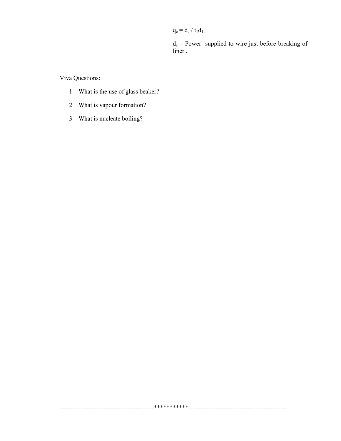$\mathbf{q_c} = \mathbf{d_c}$  /  $\mathbf{t_1} \mathbf{d_1}$ 

 $d_c$  – Power supplied to wire just before breaking of liner.

Viva Questions:

- 1 What is the use of glass beaker?
- 2 What is vapour formation?
- 3 What is nucleate boiling?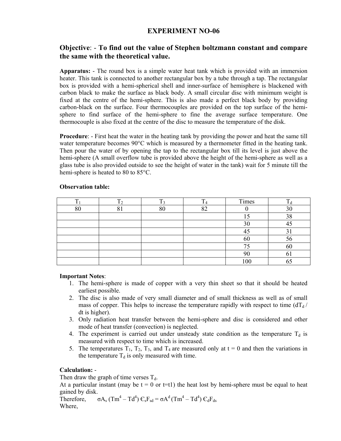## **EXPERIMENT NO-06**

## **Objective**: - **To find out the value of Stephen boltzmann constant and compare the same with the theoretical value.**

**Apparatus:** - The round box is a simple water heat tank which is provided with an immersion heater. This tank is connected to another rectangular box by a tube through a tap. The rectangular box is provided with a hemi-spherical shell and inner-surface of hemisphere is blackened with carbon black to make the surface as black body. A small circular disc with minimum weight is fixed at the centre of the hemi-sphere. This is also made a perfect black body by providing carbon-black on the surface. Four thermocouples are provided on the top surface of the hemisphere to find surface of the hemi-sphere to fine the average surface temperature. One thermocouple is also fixed at the centre of the disc to measure the temperature of the disk.

**Procedure**: - First heat the water in the heating tank by providing the power and heat the same till water temperature becomes 90°C which is measured by a thermometer fitted in the heating tank. Then pour the water of by opening the tap to the rectangular box till its level is just above the hemi-sphere (A small overflow tube is provided above the height of the hemi-sphere as well as a glass tube is also provided outside to see the height of water in the tank) wait for 5 minute till the hemi-sphere is heated to 80 to 85°C.

|    |         |    |                | Times |    |
|----|---------|----|----------------|-------|----|
| 80 | $\circ$ | 80 | $\Omega$<br>◡∠ |       | 30 |
|    |         |    |                | 1 J   | 38 |
|    |         |    |                | 30    |    |
|    |         |    |                |       |    |
|    |         |    |                | 60    | 56 |
|    |         |    |                |       | 60 |
|    |         |    |                | 7U    | 01 |
|    |         |    |                | 100   | ບບ |

## **Observation table:**

## **Important Notes**:

- 1. The hemi-sphere is made of copper with a very thin sheet so that it should be heated earliest possible.
- 2. The disc is also made of very small diameter and of small thickness as well as of small mass of copper. This helps to increase the temperature rapidly with respect to time  $(dT_d)$ dt is higher).
- 3. Only radiation heat transfer between the hemi-sphere and disc is considered and other mode of heat transfer (convection) is neglected.
- 4. The experiment is carried out under unsteady state condition as the temperature  $T_d$  is measured with respect to time which is increased.
- 5. The temperatures  $T_1$ ,  $T_2$ ,  $T_3$ , and  $T_4$  are measured only at  $t = 0$  and then the variations in the temperature  $T_d$  is only measured with time.

## **Calculation:** -

Then draw the graph of time verses  $T_d$ .

At a particular instant (may be  $t = 0$  or  $t=t$ ) the heat lost by hemi-sphere must be equal to heat gained by disk.

Therefore,  $\sigma A_s$  (Tm<sup>4</sup> – Td<sup>4</sup>)  $C_sF_{sd} = \sigma A^d$  (Tm<sup>4</sup> – Td<sup>4</sup>)  $C_dF_{ds}$ Where,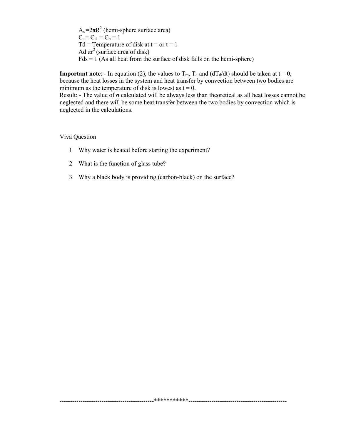$A_s = 2\pi R^2$  (hemi-sphere surface area)  $\mathbf{C}_s = \mathbf{C}_d = \mathbf{C}_b = 1$ Td = Temperature of disk at  $t =$  or  $t = 1$ Ad  $\pi r^2$  (surface area of disk)  $Fds = 1$  (As all heat from the surface of disk falls on the hemi-sphere)

**Important note**: - In equation (2), the values to  $T_m$ ,  $T_d$  and ( $dT_d/dt$ ) should be taken at  $t = 0$ , because the heat losses in the system and heat transfer by convection between two bodies are minimum as the temperature of disk is lowest as  $t = 0$ .

Result: - The value of  $\sigma$  calculated will be always less than theoretical as all heat losses cannot be neglected and there will be some heat transfer between the two bodies by convection which is neglected in the calculations.

## Viva Ouestion

- 1 Why water is heated before starting the experiment?
- 2 What is the function of glass tube?
- 3 Why a black body is providing (carbon-black) on the surface?

\*\*\*\*\*\*\*\*\*\*\*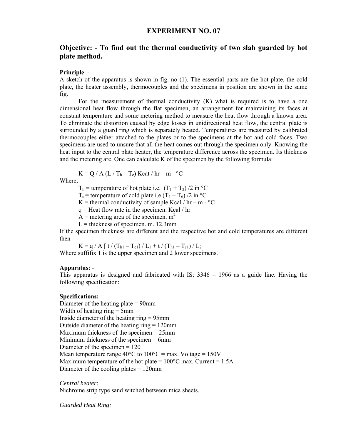## **EXPERIMENT NO. 07**

## **Objective:** - **To find out the thermal conductivity of two slab guarded by hot plate method.**

#### **Principle**: -

A sketch of the apparatus is shown in fig. no (1). The essential parts are the hot plate, the cold plate, the heater assembly, thermocouples and the specimens in position are shown in the same fig.

 For the measurement of thermal conductivity (K) what is required is to have a one dimensional heat flow through the flat specimen, an arrangement for maintaining its faces at constant temperature and some metering method to measure the heat flow through a known area. To eliminate the distortion caused by edge losses in unidirectional heat flow, the central plate is surrounded by a guard ring which is separately heated. Temperatures are measured by calibrated thermocouples either attached to the plates or to the specimens at the hot and cold faces. Two specimens are used to unsure that all the heat comes out through the specimen only. Knowing the heat input to the central plate heater, the temperature difference across the specimen. Its thickness and the metering are. One can calculate K of the specimen by the following formula:

 $K = Q / A (L / T_h - T_c)$  Kcat/hr – m - °C

Where,

 $T<sub>h</sub>$  = temperature of hot plate i.e.  $(T_1 + T_2)/2$  in °C

 $T_c$  = temperature of cold plate i.e (T<sub>5</sub> + T<sub>6</sub>)/2 in <sup>o</sup>C

K = thermal conductivity of sample Kcal /  $hr - m - C$ 

 $q =$  Heat flow rate in the specimen. Kcal / hr

A = metering area of the specimen.  $m<sup>2</sup>$ 

 $L =$  thickness of specimen. m. 12.3mm

If the specimen thickness are different and the respective hot and cold temperatures are different then

 $K = q / A [t / (T_{h1} - T_{c1}) / L_1 + t / (T_{h1} - T_{c1}) / L_2]$ 

Where suffifix 1 is the upper specimen and 2 lower specimens.

#### **Apparatus: -**

This apparatus is designed and fabricated with IS: 3346 – 1966 as a guide line. Having the following specification:

#### **Specifications:**

Diameter of the heating plate = 90mm Width of heating ring = 5mm Inside diameter of the heating ring = 95mm Outside diameter of the heating ring = 120mm Maximum thickness of the specimen = 25mm Minimum thickness of the specimen = 6mm Diameter of the specimen = 120 Mean temperature range  $40^{\circ}$ C to  $100^{\circ}$ C = max. Voltage = 150V Maximum temperature of the hot plate =  $100^{\circ}$ C max. Current = 1.5A Diameter of the cooling plates = 120mm

*Central heater:*  Nichrome strip type sand witched between mica sheets.

*Guarded Heat Ring:*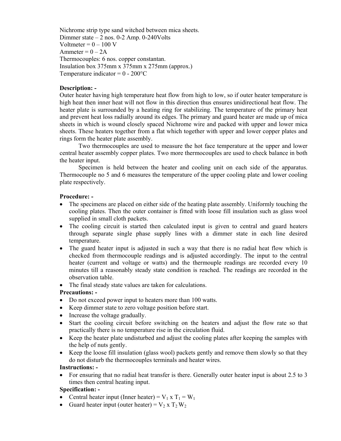Nichrome strip type sand witched between mica sheets. Dimmer state – 2 nos. 0-2 Amp. 0-240Volts Voltmeter =  $0 - 100$  V Ammeter =  $0 - 2A$ Thermocouples: 6 nos. copper constantan. Insulation box 375mm x 375mm x 275mm (approx.) Temperature indicator =  $0 - 200$ <sup>o</sup>C

## **Description: -**

Outer heater having high temperature heat flow from high to low, so if outer heater temperature is high heat then inner heat will not flow in this direction thus ensures unidirectional heat flow. The heater plate is surrounded by a heating ring for stabilizing. The temperature of the primary heat and prevent heat loss radially around its edges. The primary and guard heater are made up of mica sheets in which is wound closely spaced Nichrome wire and packed with upper and lower mica sheets. These heaters together from a flat which together with upper and lower copper plates and rings form the heater plate assembly.

 Two thermocouples are used to measure the hot face temperature at the upper and lower central heater assembly copper plates. Two more thermocouples are used to check balance in both the heater input.

 Specimen is held between the heater and cooling unit on each side of the apparatus. Thermocouple no 5 and 6 measures the temperature of the upper cooling plate and lower cooling plate respectively.

## **Procedure: -**

- The specimens are placed on either side of the heating plate assembly. Uniformly touching the cooling plates. Then the outer container is fitted with loose fill insulation such as glass wool supplied in small cloth packets.
- The cooling circuit is started then calculated input is given to central and guard heaters through separate single phase supply lines with a dimmer state in each line desired temperature.
- The guard heater input is adjusted in such a way that there is no radial heat flow which is checked from thermocouple readings and is adjusted accordingly. The input to the central heater (current and voltage or watts) and the thermouple readings are recorded every 10 minutes till a reasonably steady state condition is reached. The readings are recorded in the observation table.
- The final steady state values are taken for calculations.

## **Precautions: -**

- Do not exceed power input to heaters more than 100 watts.
- Keep dimmer state to zero voltage position before start.
- Increase the voltage gradually.
- Start the cooling circuit before switching on the heaters and adjust the flow rate so that practically there is no temperature rise in the circulation fluid.
- Keep the heater plate undisturbed and adjust the cooling plates after keeping the samples with the help of nuts gently.
- Keep the loose fill insulation (glass wool) packets gently and remove them slowly so that they do not disturb the thermocouples terminals and heater wires.

#### **Instructions: -**

• For ensuring that no radial heat transfer is there. Generally outer heater input is about 2.5 to 3 times then central heating input.

## **Specification: -**

- Central heater input (Inner heater) =  $V_1 x T_1 = W_1$
- Guard heater input (outer heater) =  $V_2$  x  $T_2 W_2$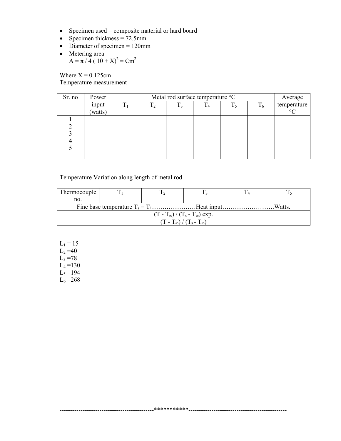- Specimen used = composite material or hard board
- Specimen thickness  $= 72.5$ mm
- Diameter of specimen  $= 120$ mm
- Metering area  $A = \pi / 4 (10 + X)^2 = Cm^2$

Where  $X = 0.125$ cm Temperature measurement

| Sr. no | Power   |                | Metal rod surface temperature °C |       |                |       |       |             |  |  |
|--------|---------|----------------|----------------------------------|-------|----------------|-------|-------|-------------|--|--|
|        | input   | T <sub>1</sub> | T <sub>2</sub>                   | $T_3$ | T <sub>4</sub> | $T_5$ | $T_6$ | temperature |  |  |
|        | (watts) |                |                                  |       |                |       |       | $\circ$     |  |  |
|        |         |                |                                  |       |                |       |       |             |  |  |
|        |         |                |                                  |       |                |       |       |             |  |  |
|        |         |                |                                  |       |                |       |       |             |  |  |
|        |         |                |                                  |       |                |       |       |             |  |  |
|        |         |                |                                  |       |                |       |       |             |  |  |
|        |         |                |                                  |       |                |       |       |             |  |  |

## Temperature Variation along length of metal rod

| Thermocouple                           |  |  |  |  |  |  |  |  |
|----------------------------------------|--|--|--|--|--|--|--|--|
| no.                                    |  |  |  |  |  |  |  |  |
| Watts.                                 |  |  |  |  |  |  |  |  |
| $(T-T_{\infty})/(T_s-T_{\infty})$ exp. |  |  |  |  |  |  |  |  |
|                                        |  |  |  |  |  |  |  |  |

\_\*\*\*\*\*\*\*\*\*\*\*\*\*<sub>--</sub>

 $L_1 = 15$  $L_2 = 40$  $L_3 = 78$  $L_4 = 130$  $L_5 = 194$  $L_6 = 268$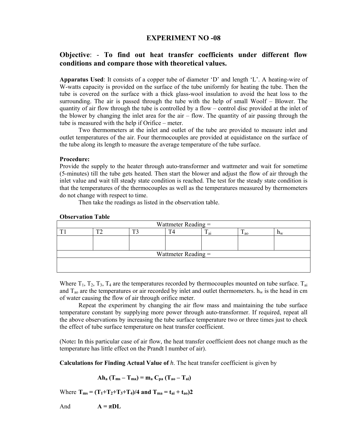## **EXPERIMENT NO -08**

## **Objective**: - **To find out heat transfer coefficients under different flow conditions and compare those with theoretical values.**

**Apparatus Used**: It consists of a copper tube of diameter 'D' and length 'L'. A heating-wire of W-watts capacity is provided on the surface of the tube uniformly for heating the tube. Then the tube is covered on the surface with a thick glass-wool insulation to avoid the heat loss to the surrounding. The air is passed through the tube with the help of small Woolf – Blower. The quantity of air flow through the tube is controlled by a flow – control disc provided at the inlet of the blower by changing the inlet area for the air – flow. The quantity of air passing through the tube is measured with the help if Orifice – meter.

 Two thermometers at the inlet and outlet of the tube are provided to measure inlet and outlet temperatures of the air. Four thermocouples are provided at equidistance on the surface of the tube along its length to measure the average temperature of the tube surface.

#### **Procedure:**

Provide the supply to the heater through auto-transformer and wattmeter and wait for sometime (5-minutes) till the tube gets heated. Then start the blower and adjust the flow of air through the inlet value and wait till steady state condition is reached. The test for the steady state condition is that the temperatures of the thermocouples as well as the temperatures measured by thermometers do not change with respect to time.

Then take the readings as listed in the observation table.

#### **Observation Table**

| Wattmeter Reading =   |    |     |  |                 |                |                  |  |
|-----------------------|----|-----|--|-----------------|----------------|------------------|--|
|                       | m٨ | — 1 |  | $\mathbf{u}$ ai | $\frac{1}{20}$ | $\mathbf{H}^{N}$ |  |
|                       |    |     |  |                 |                |                  |  |
|                       |    |     |  |                 |                |                  |  |
| Wattmeter Reading $=$ |    |     |  |                 |                |                  |  |
|                       |    |     |  |                 |                |                  |  |
|                       |    |     |  |                 |                |                  |  |

Where  $T_1$ ,  $T_2$ ,  $T_3$ ,  $T_4$  are the temperatures recorded by thermocouples mounted on tube surface.  $T_{ai}$ and  $T_{\text{ao}}$  are the temperatures or air recorded by inlet and outlet thermometers.  $h_w$  is the head in cm of water causing the flow of air through orifice meter.

 Repeat the experiment by changing the air flow mass and maintaining the tube surface temperature constant by supplying more power through auto-transformer. If required, repeat all the above observations by increasing the tube surface temperature two or three times just to check the effect of tube surface temperature on heat transfer coefficient.

(Note**:** In this particular case of air flow, the heat transfer coefficient does not change much as the temperature has little effect on the Prandt l number of air).

**Calculations for Finding Actual Value of** *h*. The heat transfer coefficient is given by

$$
Ah_a (T_{ms} - T_{ma}) = m_a C_{pa} (T_{ao} - T_{ai})
$$

Where  $T_{ms} = (T_1 + T_2 + T_3 + T_4)/4$  and  $T_{ma} = t_{ai} + t_{ao}$ )2

And  $A = \pi D L$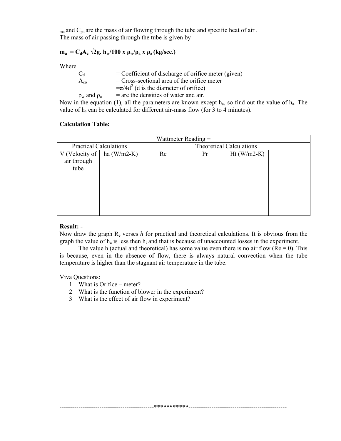$_{\text{ma}}$  and  $_{\text{Pa}}$  are the mass of air flowing through the tube and specific heat of air. The mass of air passing through the tube is given by

## $m_a = C_dA_c \sqrt{2g}$ .  $h_w/100 \times \rho_w/\rho_a \times \rho_a$  (kg/sec.)

Where

| $C_d$    | $=$ Coefficient of discharge of orifice meter (given)                                                     |
|----------|-----------------------------------------------------------------------------------------------------------|
| $A_{co}$ | $=$ Cross-sectional area of the orifice meter                                                             |
|          | $=\pi/4d^2$ (d is the diameter of orifice)                                                                |
|          | $\rho_w$ and $\rho_a$ = are the densities of water and air.                                               |
|          | Now in the equation (1), all the parameters are known except $h_a$ , so find out the value of $h_a$ . The |

value of  $h_a$  can be calculated for different air-mass flow (for 3 to 4 minutes).

## **Calculation Table:**

| Wattmeter Reading $=$              |  |                                 |  |  |  |  |  |
|------------------------------------|--|---------------------------------|--|--|--|--|--|
| <b>Practical Calculations</b>      |  | <b>Theoretical Calculations</b> |  |  |  |  |  |
| V (Velocity of $\vert$ ha (W/m2-K) |  | $Ht(W/m2-K)$<br>Re<br>Pr        |  |  |  |  |  |
| air through                        |  |                                 |  |  |  |  |  |
| tube                               |  |                                 |  |  |  |  |  |
|                                    |  |                                 |  |  |  |  |  |
|                                    |  |                                 |  |  |  |  |  |
|                                    |  |                                 |  |  |  |  |  |
|                                    |  |                                 |  |  |  |  |  |
|                                    |  |                                 |  |  |  |  |  |
|                                    |  |                                 |  |  |  |  |  |

## **Result: -**

Now draw the graph Re verses *h* for practical and theoretical calculations. It is obvious from the graph the value of  $h_a$  is less then  $h_t$  and that is because of unaccounted losses in the experiment.

The value h (actual and theoretical) has some value even there is no air flow ( $Re = 0$ ). This is because, even in the absence of flow, there is always natural convection when the tube temperature is higher than the stagnant air temperature in the tube.

---------------------------------------------\*\*\*\*\*\*\*\*\*\*\*-----------------------------------------------

Viva Questions:

- 1 What is Orifice meter?
- 2 What is the function of blower in the experiment?
- 3 What is the effect of air flow in experiment?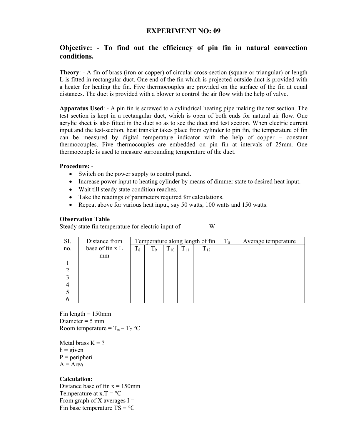## **EXPERIMENT NO: 09**

## **Objective:** - **To find out the efficiency of pin fin in natural convection conditions.**

**Theory**: - A fin of brass (iron or copper) of circular cross-section (square or triangular) or length L is fitted in rectangular duct. One end of the fin which is projected outside duct is provided with a heater for heating the fin. Five thermocouples are provided on the surface of the fin at equal distances. The duct is provided with a blower to control the air flow with the help of valve.

**Apparatus Used**: - A pin fin is screwed to a cylindrical heating pipe making the test section. The test section is kept in a rectangular duct, which is open of both ends for natural air flow. One acrylic sheet is also fitted in the duct so as to see the duct and test section. When electric current input and the test-section, heat transfer takes place from cylinder to pin fin, the temperature of fin can be measured by digital temperature indicator with the help of copper – constant thermocouples. Five thermocouples are embedded on pin fin at intervals of 25mm. One thermocouple is used to measure surrounding temperature of the duct.

## **Procedure:** -

- Switch on the power supply to control panel.
- Increase power input to heating cylinder by means of dimmer state to desired heat input.
- Wait till steady state condition reaches.
- Take the readings of parameters required for calculations.
- Repeat above for various heat input, say 50 watts, 100 watts and 150 watts.

## **Observation Table**

Steady state fin temperature for electric input of -------------W

| SI. | Distance from   | Temperature along length of fin |                |          |          |          | $T_{\rm S}$ | Average temperature |
|-----|-----------------|---------------------------------|----------------|----------|----------|----------|-------------|---------------------|
| no. | base of fin x L | $T_8$                           | T <sub>9</sub> | $T_{10}$ | $T_{11}$ | $T_{12}$ |             |                     |
|     | mm              |                                 |                |          |          |          |             |                     |
|     |                 |                                 |                |          |          |          |             |                     |
|     |                 |                                 |                |          |          |          |             |                     |
|     |                 |                                 |                |          |          |          |             |                     |
|     |                 |                                 |                |          |          |          |             |                     |
|     |                 |                                 |                |          |          |          |             |                     |
|     |                 |                                 |                |          |          |          |             |                     |

Fin length  $= 150$ mm Diameter  $= 5$  mm Room temperature =  $T_{\infty}$  –  $T_7$  °C

Metal brass  $K = ?$  $h =$  given  $P = peripheri$  $A = Area$ 

## **Calculation:**

Distance base of fin  $x = 150$ mm Temperature at  $x.T = °C$ From graph of X averages  $I =$ Fin base temperature  $TS = C$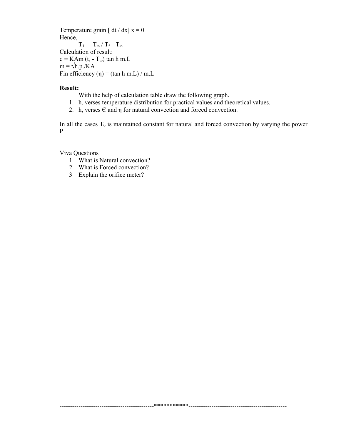Temperature grain [  $dt / dx$ ]  $x = 0$ Hence,  $T_1 - T_{\infty} / T_5 - T_{\infty}$ Calculation of result:  $q = KAm(t_s - T_{\infty}) \tan h m.L$  $m = \sqrt{h.p.}/KA$ Fin efficiency ( $\eta$ ) = (tan h m.L) / m.L

#### **Result:**

With the help of calculation table draw the following graph.

1. h, verses temperature distribution for practical values and theoretical values.

2. h, verses  $E$  and  $\eta$  for natural convection and forced convection.

In all the cases  $T_0$  is maintained constant for natural and forced convection by varying the power  $\mathbf{P}$ 

Viva Questions

- 1 What is Natural convection?
- 2 What is Forced convection?
- 3 Explain the orifice meter?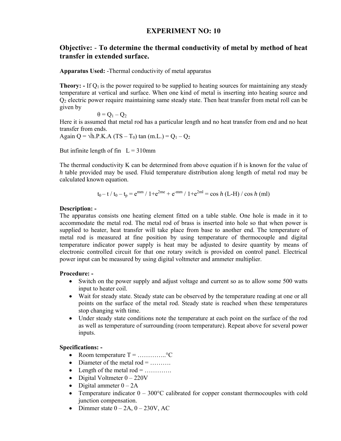## **EXPERIMENT NO: 10**

## **Objective:** - **To determine the thermal conductivity of metal by method of heat transfer in extended surface.**

**Apparatus Used:** -Thermal conductivity of metal apparatus

**Theory:** - If  $Q_1$  is the power required to be supplied to heating sources for maintaining any steady temperature at vertical and surface. When one kind of metal is inserting into heating source and  $Q<sub>2</sub>$  electric power require maintaining same steady state. Then heat transfer from metal roll can be given by

 $\theta$  =  $Q_1$  –  $Q_2$ 

Here it is assumed that metal rod has a particular length and no heat transfer from end and no heat transfer from ends.

Again Q =  $\sqrt{h}$ .P.K.A (TS – T<sub>0</sub>) tan (m.L.) = Q<sub>1</sub> – Q<sub>2</sub>

But infinite length of fin  $L = 310$ mm

The thermal conductivity K can be determined from above equation if *h* is known for the value of *h* table provided may be used. Fluid temperature distribution along length of metal rod may be calculated known equation.

$$
t_0 - t / t_0 - t_p = e^{mm} / 1 + e^{2me} + e^{-mm} / 1 + e^{2ml} = \cos h (L-H) / \cos h (ml)
$$

## **Description: -**

The apparatus consists one heating element fitted on a table stable. One hole is made in it to accommodate the metal rod. The metal rod of brass is inserted into hole so that when power is supplied to heater, heat transfer will take place from base to another end. The temperature of metal rod is measured at fine position by using temperature of thermocouple and digital temperature indicator power supply is heat may be adjusted to desire quantity by means of electronic controlled circuit for that one rotary switch is provided on control panel. Electrical power input can be measured by using digital voltmeter and ammeter multiplier.

## **Procedure: -**

- Switch on the power supply and adjust voltage and current so as to allow some 500 watts input to heater coil.
- Wait for steady state. Steady state can be observed by the temperature reading at one or all points on the surface of the metal rod. Steady state is reached when these temperatures stop changing with time.
- Under steady state conditions note the temperature at each point on the surface of the rod as well as temperature of surrounding (room temperature). Repeat above for several power inputs.

## **Specifications: -**

- Room temperature T = …………..°C
- Diameter of the metal rod  $=$  ........
- Length of the metal rod =  $\dots$
- Digital Voltmeter  $0 220V$
- Digital ammeter  $0 2A$
- Temperature indicator  $0 300^{\circ}$ C calibrated for copper constant thermocouples with cold junction compensation.
- Dimmer state  $0 2A$ ,  $0 230V$ , AC